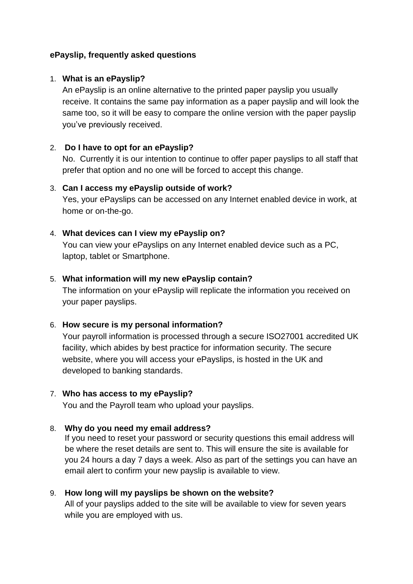## **ePayslip, frequently asked questions**

### 1. **What is an ePayslip?**

An ePayslip is an online alternative to the printed paper payslip you usually receive. It contains the same pay information as a paper payslip and will look the same too, so it will be easy to compare the online version with the paper payslip you've previously received.

## 2. **Do I have to opt for an ePayslip?**

No. Currently it is our intention to continue to offer paper payslips to all staff that prefer that option and no one will be forced to accept this change.

#### 3. **Can I access my ePayslip outside of work?**

Yes, your ePayslips can be accessed on any Internet enabled device in work, at home or on-the-go.

## 4. **What devices can I view my ePayslip on?**

You can view your ePayslips on any Internet enabled device such as a PC, laptop, tablet or Smartphone.

## 5. **What information will my new ePayslip contain?**

The information on your ePayslip will replicate the information you received on your paper payslips.

# 6. **How secure is my personal information?**

Your payroll information is processed through a secure ISO27001 accredited UK facility, which abides by best practice for information security. The secure website, where you will access your ePayslips, is hosted in the UK and developed to banking standards.

#### 7. **Who has access to my ePayslip?**

You and the Payroll team who upload your payslips.

# 8. **Why do you need my email address?**

If you need to reset your password or security questions this email address will be where the reset details are sent to. This will ensure the site is available for you 24 hours a day 7 days a week. Also as part of the settings you can have an email alert to confirm your new payslip is available to view.

#### 9. **How long will my payslips be shown on the website?**

All of your payslips added to the site will be available to view for seven years while you are employed with us.